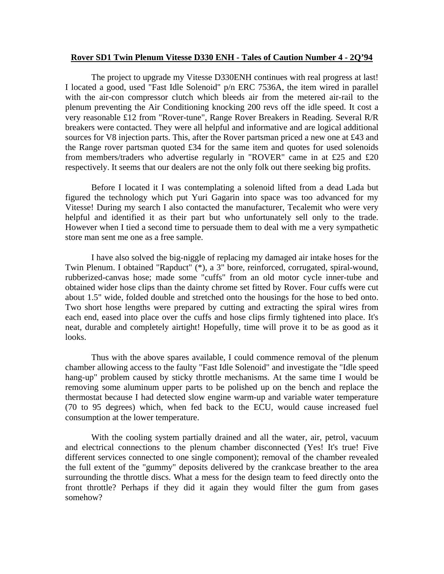## **Rover SD1 Twin Plenum Vitesse D330 ENH - Tales of Caution Number 4 - 2Q'94**

 The project to upgrade my Vitesse D330ENH continues with real progress at last! I located a good, used "Fast Idle Solenoid" p/n ERC 7536A, the item wired in parallel with the air-con compressor clutch which bleeds air from the metered air-rail to the plenum preventing the Air Conditioning knocking 200 revs off the idle speed. It cost a very reasonable £12 from "Rover-tune", Range Rover Breakers in Reading. Several R/R breakers were contacted. They were all helpful and informative and are logical additional sources for V8 injection parts. This, after the Rover partsman priced a new one at £43 and the Range rover partsman quoted £34 for the same item and quotes for used solenoids from members/traders who advertise regularly in "ROVER" came in at £25 and £20 respectively. It seems that our dealers are not the only folk out there seeking big profits.

Before I located it I was contemplating a solenoid lifted from a dead Lada but figured the technology which put Yuri Gagarin into space was too advanced for my Vitesse! During my search I also contacted the manufacturer, Tecalemit who were very helpful and identified it as their part but who unfortunately sell only to the trade. However when I tied a second time to persuade them to deal with me a very sympathetic store man sent me one as a free sample.

 I have also solved the big-niggle of replacing my damaged air intake hoses for the Twin Plenum. I obtained "Rapduct" (\*), a 3" bore, reinforced, corrugated, spiral-wound, rubberized-canvas hose; made some "cuffs" from an old motor cycle inner-tube and obtained wider hose clips than the dainty chrome set fitted by Rover. Four cuffs were cut about 1.5" wide, folded double and stretched onto the housings for the hose to bed onto. Two short hose lengths were prepared by cutting and extracting the spiral wires from each end, eased into place over the cuffs and hose clips firmly tightened into place. It's neat, durable and completely airtight! Hopefully, time will prove it to be as good as it looks.

 Thus with the above spares available, I could commence removal of the plenum chamber allowing access to the faulty "Fast Idle Solenoid" and investigate the "Idle speed hang-up" problem caused by sticky throttle mechanisms. At the same time I would be removing some aluminum upper parts to be polished up on the bench and replace the thermostat because I had detected slow engine warm-up and variable water temperature (70 to 95 degrees) which, when fed back to the ECU, would cause increased fuel consumption at the lower temperature.

 With the cooling system partially drained and all the water, air, petrol, vacuum and electrical connections to the plenum chamber disconnected (Yes! It's true! Five different services connected to one single component); removal of the chamber revealed the full extent of the "gummy" deposits delivered by the crankcase breather to the area surrounding the throttle discs. What a mess for the design team to feed directly onto the front throttle? Perhaps if they did it again they would filter the gum from gases somehow?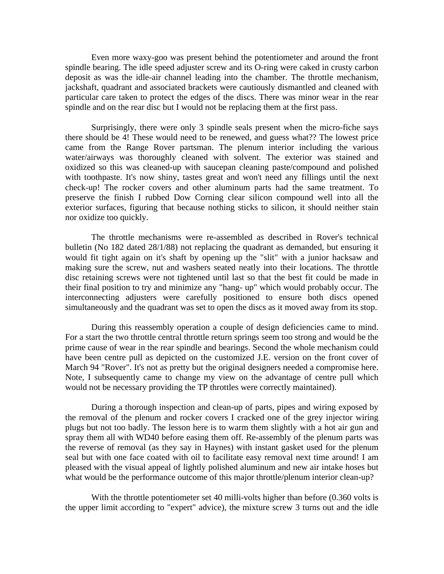Even more waxy-goo was present behind the potentiometer and around the front spindle bearing. The idle speed adjuster screw and its O-ring were caked in crusty carbon deposit as was the idle-air channel leading into the chamber. The throttle mechanism, jackshaft, quadrant and associated brackets were cautiously dismantled and cleaned with particular care taken to protect the edges of the discs. There was minor wear in the rear spindle and on the rear disc but I would not be replacing them at the first pass.

Surprisingly, there were only 3 spindle seals present when the micro-fiche says there should be 4! These would need to be renewed, and guess what?? The lowest price came from the Range Rover partsman. The plenum interior including the various water/airways was thoroughly cleaned with solvent. The exterior was stained and oxidized so this was cleaned-up with saucepan cleaning paste/compound and polished with toothpaste. It's now shiny, tastes great and won't need any fillings until the next check-up! The rocker covers and other aluminum parts had the same treatment. To preserve the finish I rubbed Dow Corning clear silicon compound well into all the exterior surfaces, figuring that because nothing sticks to silicon, it should neither stain nor oxidize too quickly.

 The throttle mechanisms were re-assembled as described in Rover's technical bulletin (No 182 dated 28/1/88) not replacing the quadrant as demanded, but ensuring it would fit tight again on it's shaft by opening up the "slit" with a junior hacksaw and making sure the screw, nut and washers seated neatly into their locations. The throttle disc retaining screws were not tightened until last so that the best fit could be made in their final position to try and minimize any "hang- up" which would probably occur. The interconnecting adjusters were carefully positioned to ensure both discs opened simultaneously and the quadrant was set to open the discs as it moved away from its stop.

 During this reassembly operation a couple of design deficiencies came to mind. For a start the two throttle central throttle return springs seem too strong and would be the prime cause of wear in the rear spindle and bearings. Second the whole mechanism could have been centre pull as depicted on the customized J.E. version on the front cover of March 94 "Rover". It's not as pretty but the original designers needed a compromise here. Note, I subsequently came to change my view on the advantage of centre pull which would not be necessary providing the TP throttles were correctly maintained).

 During a thorough inspection and clean-up of parts, pipes and wiring exposed by the removal of the plenum and rocker covers I cracked one of the grey injector wiring plugs but not too badly. The lesson here is to warm them slightly with a hot air gun and spray them all with WD40 before easing them off. Re-assembly of the plenum parts was the reverse of removal (as they say in Haynes) with instant gasket used for the plenum seal but with one face coated with oil to facilitate easy removal next time around! I am pleased with the visual appeal of lightly polished aluminum and new air intake hoses but what would be the performance outcome of this major throttle/plenum interior clean-up?

 With the throttle potentiometer set 40 milli-volts higher than before (0.360 volts is the upper limit according to "expert" advice), the mixture screw 3 turns out and the idle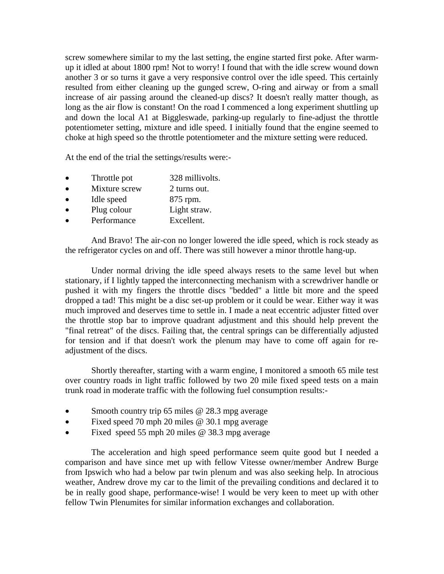screw somewhere similar to my the last setting, the engine started first poke. After warmup it idled at about 1800 rpm! Not to worry! I found that with the idle screw wound down another 3 or so turns it gave a very responsive control over the idle speed. This certainly resulted from either cleaning up the gunged screw, O-ring and airway or from a small increase of air passing around the cleaned-up discs? It doesn't really matter though, as long as the air flow is constant! On the road I commenced a long experiment shuttling up and down the local A1 at Biggleswade, parking-up regularly to fine-adjust the throttle potentiometer setting, mixture and idle speed. I initially found that the engine seemed to choke at high speed so the throttle potentiometer and the mixture setting were reduced.

At the end of the trial the settings/results were:-

- Throttle pot 328 millivolts.
- Mixture screw 2 turns out.
- Idle speed 875 rpm.
- Plug colour Light straw.
- Performance Excellent.

 And Bravo! The air-con no longer lowered the idle speed, which is rock steady as the refrigerator cycles on and off. There was still however a minor throttle hang-up.

Under normal driving the idle speed always resets to the same level but when stationary, if I lightly tapped the interconnecting mechanism with a screwdriver handle or pushed it with my fingers the throttle discs "bedded" a little bit more and the speed dropped a tad! This might be a disc set-up problem or it could be wear. Either way it was much improved and deserves time to settle in. I made a neat eccentric adjuster fitted over the throttle stop bar to improve quadrant adjustment and this should help prevent the "final retreat" of the discs. Failing that, the central springs can be differentially adjusted for tension and if that doesn't work the plenum may have to come off again for readjustment of the discs.

 Shortly thereafter, starting with a warm engine, I monitored a smooth 65 mile test over country roads in light traffic followed by two 20 mile fixed speed tests on a main trunk road in moderate traffic with the following fuel consumption results:-

- Smooth country trip 65 miles @ 28.3 mpg average
- Fixed speed 70 mph 20 miles @ 30.1 mpg average
- Fixed speed 55 mph 20 miles @ 38.3 mpg average

 The acceleration and high speed performance seem quite good but I needed a comparison and have since met up with fellow Vitesse owner/member Andrew Burge from Ipswich who had a below par twin plenum and was also seeking help. In atrocious weather, Andrew drove my car to the limit of the prevailing conditions and declared it to be in really good shape, performance-wise! I would be very keen to meet up with other fellow Twin Plenumites for similar information exchanges and collaboration.